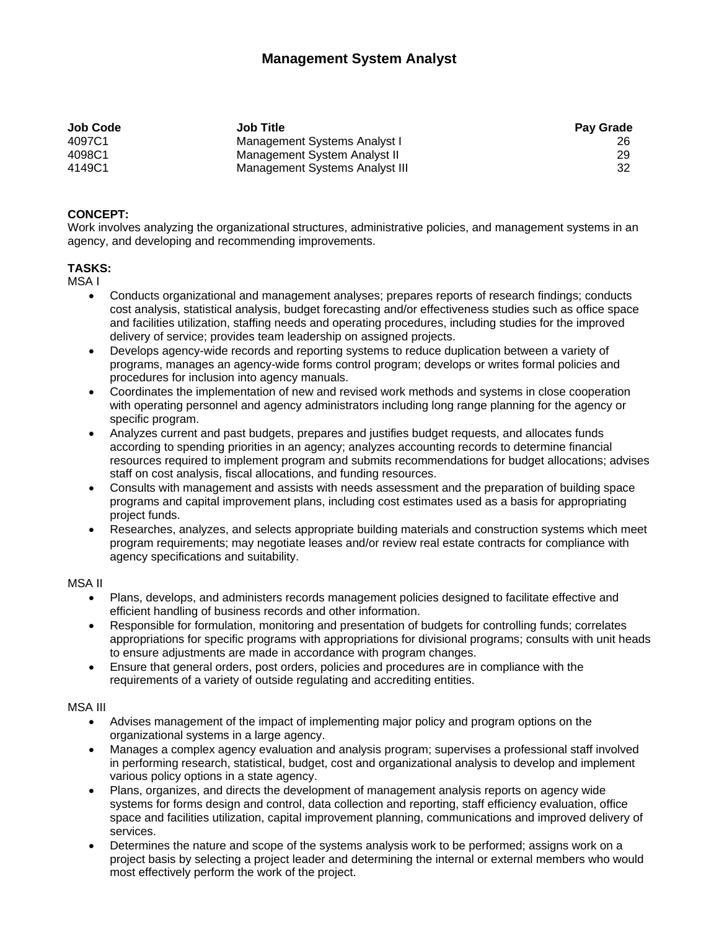# **Management System Analyst**

| <b>Job Code</b> | <b>Job Title</b>               | <b>Pay Grade</b> |
|-----------------|--------------------------------|------------------|
| 4097C1          | Management Systems Analyst I   |                  |
| 4098C1          | Management System Analyst II   | 29               |
| 4149C1          | Management Systems Analyst III | 32               |

## **CONCEPT:**

Work involves analyzing the organizational structures, administrative policies, and management systems in an agency, and developing and recommending improvements.

## **TASKS:**

MSA I

- Conducts organizational and management analyses; prepares reports of research findings; conducts cost analysis, statistical analysis, budget forecasting and/or effectiveness studies such as office space and facilities utilization, staffing needs and operating procedures, including studies for the improved delivery of service; provides team leadership on assigned projects.
- Develops agency-wide records and reporting systems to reduce duplication between a variety of programs, manages an agency-wide forms control program; develops or writes formal policies and procedures for inclusion into agency manuals.
- Coordinates the implementation of new and revised work methods and systems in close cooperation with operating personnel and agency administrators including long range planning for the agency or specific program.
- Analyzes current and past budgets, prepares and justifies budget requests, and allocates funds according to spending priorities in an agency; analyzes accounting records to determine financial resources required to implement program and submits recommendations for budget allocations; advises staff on cost analysis, fiscal allocations, and funding resources.
- Consults with management and assists with needs assessment and the preparation of building space programs and capital improvement plans, including cost estimates used as a basis for appropriating project funds.
- Researches, analyzes, and selects appropriate building materials and construction systems which meet program requirements; may negotiate leases and/or review real estate contracts for compliance with agency specifications and suitability.

#### MSA II

- Plans, develops, and administers records management policies designed to facilitate effective and efficient handling of business records and other information.
- Responsible for formulation, monitoring and presentation of budgets for controlling funds; correlates appropriations for specific programs with appropriations for divisional programs; consults with unit heads to ensure adjustments are made in accordance with program changes.
- Ensure that general orders, post orders, policies and procedures are in compliance with the requirements of a variety of outside regulating and accrediting entities.

#### MSA III

- Advises management of the impact of implementing major policy and program options on the organizational systems in a large agency.
- Manages a complex agency evaluation and analysis program; supervises a professional staff involved in performing research, statistical, budget, cost and organizational analysis to develop and implement various policy options in a state agency.
- Plans, organizes, and directs the development of management analysis reports on agency wide systems for forms design and control, data collection and reporting, staff efficiency evaluation, office space and facilities utilization, capital improvement planning, communications and improved delivery of services.
- Determines the nature and scope of the systems analysis work to be performed; assigns work on a project basis by selecting a project leader and determining the internal or external members who would most effectively perform the work of the project.